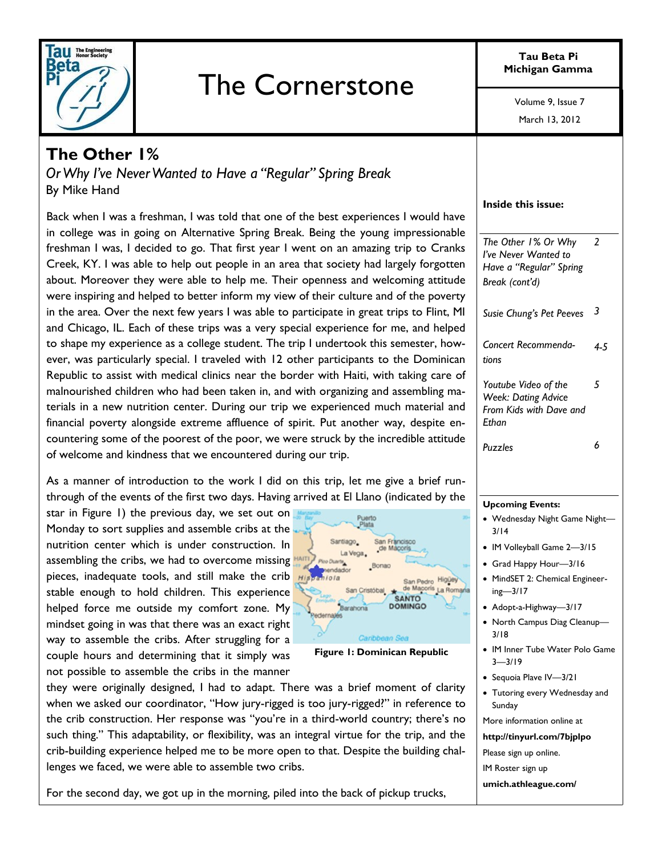

# The Cornerstone

**Tau Beta Pi Michigan Gamma**

Volume 9, Issue 7

March 13, 2012

## **The Other 1%**

*Or Why I've Never Wanted to Have a "Regular" Spring Break* By Mike Hand

Back when I was a freshman, I was told that one of the best experiences I would have in college was in going on Alternative Spring Break. Being the young impressionable freshman I was, I decided to go. That first year I went on an amazing trip to Cranks Creek, KY. I was able to help out people in an area that society had largely forgotten about. Moreover they were able to help me. Their openness and welcoming attitude were inspiring and helped to better inform my view of their culture and of the poverty in the area. Over the next few years I was able to participate in great trips to Flint, MI and Chicago, IL. Each of these trips was a very special experience for me, and helped to shape my experience as a college student. The trip I undertook this semester, however, was particularly special. I traveled with 12 other participants to the Dominican Republic to assist with medical clinics near the border with Haiti, with taking care of malnourished children who had been taken in, and with organizing and assembling materials in a new nutrition center. During our trip we experienced much material and financial poverty alongside extreme affluence of spirit. Put another way, despite encountering some of the poorest of the poor, we were struck by the incredible attitude of welcome and kindness that we encountered during our trip.

As a manner of introduction to the work I did on this trip, let me give a brief runthrough of the events of the first two days. Having arrived at El Llano (indicated by the

star in Figure 1) the previous day, we set out on Monday to sort supplies and assemble cribs at the nutrition center which is under construction. In assembling the cribs, we had to overcome missing pieces, inadequate tools, and still make the crib stable enough to hold children. This experience helped force me outside my comfort zone. My mindset going in was that there was an exact right way to assemble the cribs. After struggling for a couple hours and determining that it simply was not possible to assemble the cribs in the manner



#### **Figure 1: Dominican Republic**

they were originally designed, I had to adapt. There was a brief moment of clarity when we asked our coordinator, "How jury-rigged is too jury-rigged?" in reference to the crib construction. Her response was "you're in a third-world country; there's no such thing." This adaptability, or flexibility, was an integral virtue for the trip, and the crib-building experience helped me to be more open to that. Despite the building challenges we faced, we were able to assemble two cribs.

For the second day, we got up in the morning, piled into the back of pickup trucks,

| Inside this issue:                                                                       |     |
|------------------------------------------------------------------------------------------|-----|
| The Other 1% Or Why<br>I've Never Wanted to<br>Have a "Regular" Spring<br>Break (cont'd) | - 2 |
| Susie Chung's Pet Peeves                                                                 | 3   |
| Concert Recommenda-<br>tions                                                             | 4.5 |
| Youtube Video of the<br><b>Week: Dating Advice</b><br>From Kids with Dave and<br>Fthan   | 5   |
| Puzzles                                                                                  | 6   |

#### **Upcoming Events:**

- Wednesday Night Game Night— 3/14
- IM Volleyball Game 2-3/15
- Grad Happy Hour—3/16
- MindSET 2: Chemical Engineering—3/17
- Adopt-a-Highway-3/17
- North Campus Diag Cleanup— 3/18
- IM Inner Tube Water Polo Game 3—3/19
- Sequoia Plave IV-3/21
- Tutoring every Wednesday and Sunday

More information online at

**http://tinyurl.com/7bjplpo**

- Please sign up online.
- IM Roster sign up
- **umich.athleague.com/**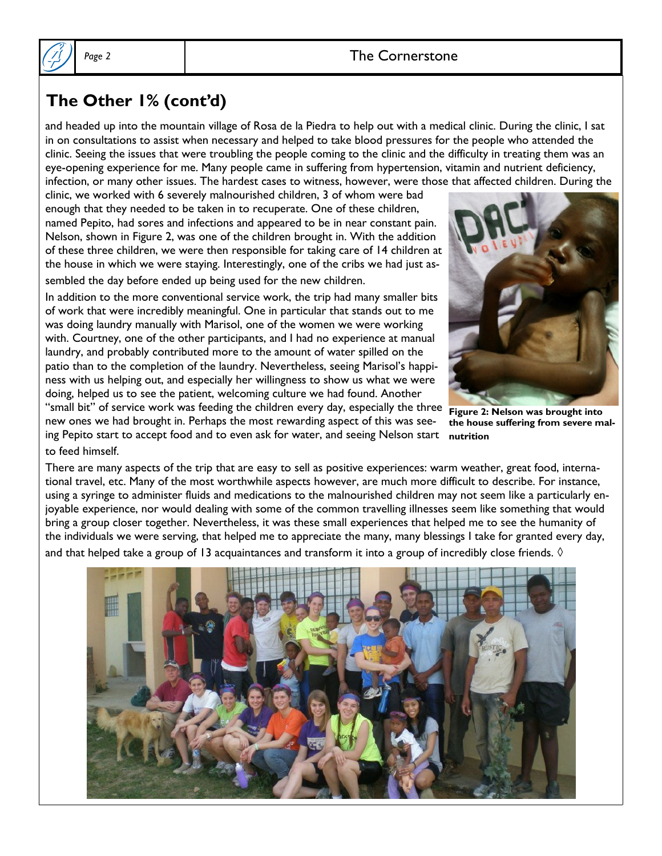### Page 2 and 1 and 1 and 2 and 2 and 2 and 2 and 2 and 2 and 2 and 2 and 2 and 2 and 2 and 2 and 2 and 2 and 2 and 2 and 2 and 2 and 2 and 2 and 2 and 2 and 2 and 2 and 2 and 2 and 2 and 2 and 2 and 2 and 2 and 2 and 2 and 2



## **The Other 1% (cont'd)**

and headed up into the mountain village of Rosa de la Piedra to help out with a medical clinic. During the clinic, I sat in on consultations to assist when necessary and helped to take blood pressures for the people who attended the clinic. Seeing the issues that were troubling the people coming to the clinic and the difficulty in treating them was an eye-opening experience for me. Many people came in suffering from hypertension, vitamin and nutrient deficiency, infection, or many other issues. The hardest cases to witness, however, were those that affected children. During the

clinic, we worked with 6 severely malnourished children, 3 of whom were bad enough that they needed to be taken in to recuperate. One of these children, named Pepito, had sores and infections and appeared to be in near constant pain. Nelson, shown in Figure 2, was one of the children brought in. With the addition of these three children, we were then responsible for taking care of 14 children at the house in which we were staying. Interestingly, one of the cribs we had just assembled the day before ended up being used for the new children.

In addition to the more conventional service work, the trip had many smaller bits of work that were incredibly meaningful. One in particular that stands out to me was doing laundry manually with Marisol, one of the women we were working with. Courtney, one of the other participants, and I had no experience at manual laundry, and probably contributed more to the amount of water spilled on the patio than to the completion of the laundry. Nevertheless, seeing Marisol's happiness with us helping out, and especially her willingness to show us what we were doing, helped us to see the patient, welcoming culture we had found. Another "small bit" of service work was feeding the children every day, especially the three new ones we had brought in. Perhaps the most rewarding aspect of this was seeing Pepito start to accept food and to even ask for water, and seeing Nelson start to feed himself.



**Figure 2: Nelson was brought into the house suffering from severe malnutrition**

There are many aspects of the trip that are easy to sell as positive experiences: warm weather, great food, international travel, etc. Many of the most worthwhile aspects however, are much more difficult to describe. For instance, using a syringe to administer fluids and medications to the malnourished children may not seem like a particularly enjoyable experience, nor would dealing with some of the common travelling illnesses seem like something that would bring a group closer together. Nevertheless, it was these small experiences that helped me to see the humanity of the individuals we were serving, that helped me to appreciate the many, many blessings I take for granted every day, and that helped take a group of 13 acquaintances and transform it into a group of incredibly close friends.  $\Diamond$ 

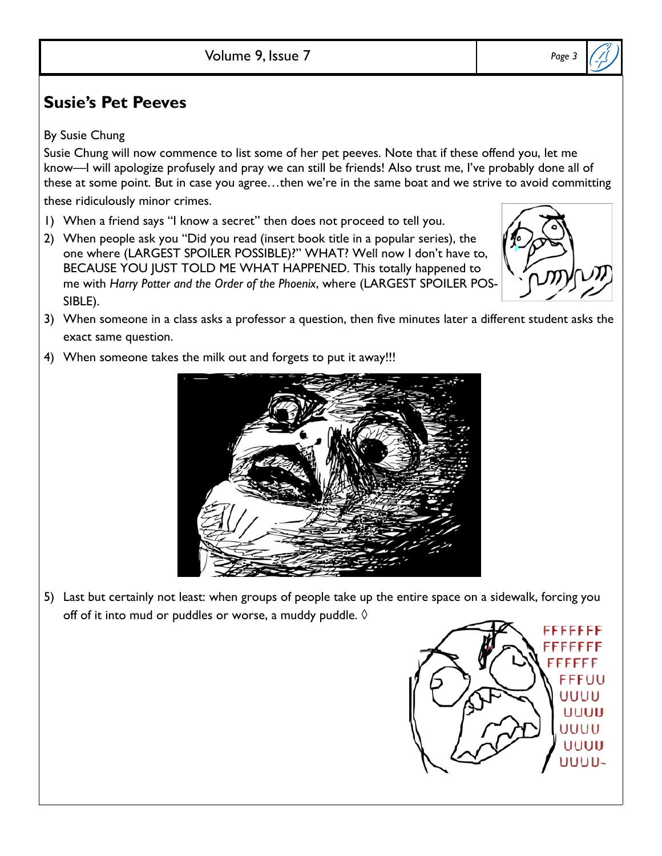## **Susie's Pet Peeves**

By Susie Chung

Susie Chung will now commence to list some of her pet peeves. Note that if these offend you, let me know—I will apologize profusely and pray we can still be friends! Also trust me, I've probably done all of these at some point. But in case you agree…then we're in the same boat and we strive to avoid committing these ridiculously minor crimes.

- 1) When a friend says "I know a secret" then does not proceed to tell you.
- 2) When people ask you "Did you read (insert book title in a popular series), the one where (LARGEST SPOILER POSSIBLE)?" WHAT? Well now I don't have to, BECAUSE YOU JUST TOLD ME WHAT HAPPENED. This totally happened to me with *Harry Potter and the Order of the Phoenix*, where (LARGEST SPOILER POS-SIBLE).
- 3) When someone in a class asks a professor a question, then five minutes later a different student asks the exact same question.
- 4) When someone takes the milk out and forgets to put it away!!!







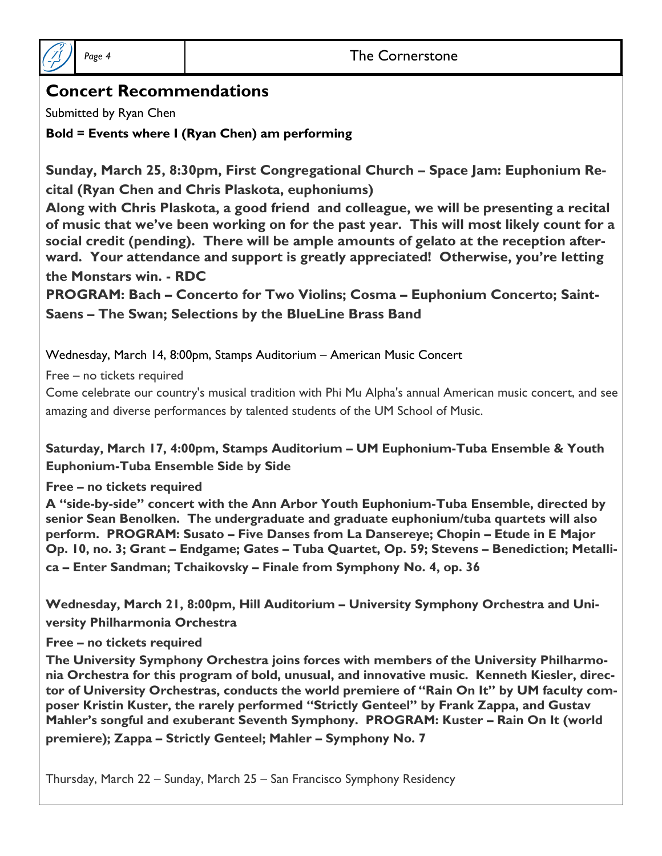

### Page 4 **The Cornerstone**

## **Concert Recommendations**

Submitted by Ryan Chen

**Bold = Events where I (Ryan Chen) am performing**

**Sunday, March 25, 8:30pm, First Congregational Church – Space Jam: Euphonium Recital (Ryan Chen and Chris Plaskota, euphoniums)**

**Along with Chris Plaskota, a good friend and colleague, we will be presenting a recital of music that we've been working on for the past year. This will most likely count for a social credit (pending). There will be ample amounts of gelato at the reception afterward. Your attendance and support is greatly appreciated! Otherwise, you're letting the Monstars win. - RDC**

**PROGRAM: Bach – Concerto for Two Violins; Cosma – Euphonium Concerto; Saint-Saens – The Swan; Selections by the BlueLine Brass Band**

Wednesday, March 14, 8:00pm, Stamps Auditorium – American Music Concert

Free – no tickets required

Come celebrate our country's musical tradition with Phi Mu Alpha's annual American music concert, and see amazing and diverse performances by talented students of the UM School of Music.

**Saturday, March 17, 4:00pm, Stamps Auditorium – UM Euphonium-Tuba Ensemble & Youth Euphonium-Tuba Ensemble Side by Side**

**Free – no tickets required**

**A "side-by-side" concert with the Ann Arbor Youth Euphonium-Tuba Ensemble, directed by senior Sean Benolken. The undergraduate and graduate euphonium/tuba quartets will also perform. PROGRAM: Susato – Five Danses from La Dansereye; Chopin – Etude in E Major Op. 10, no. 3; Grant – Endgame; Gates – Tuba Quartet, Op. 59; Stevens – Benediction; Metallica – Enter Sandman; Tchaikovsky – Finale from Symphony No. 4, op. 36**

**Wednesday, March 21, 8:00pm, Hill Auditorium – University Symphony Orchestra and University Philharmonia Orchestra**

#### **Free – no tickets required**

**The University Symphony Orchestra joins forces with members of the University Philharmonia Orchestra for this program of bold, unusual, and innovative music. Kenneth Kiesler, director of University Orchestras, conducts the world premiere of "Rain On It" by UM faculty composer Kristin Kuster, the rarely performed "Strictly Genteel" by Frank Zappa, and Gustav Mahler's songful and exuberant Seventh Symphony. PROGRAM: Kuster – Rain On It (world premiere); Zappa – Strictly Genteel; Mahler – Symphony No. 7**

Thursday, March 22 – Sunday, March 25 – San Francisco Symphony Residency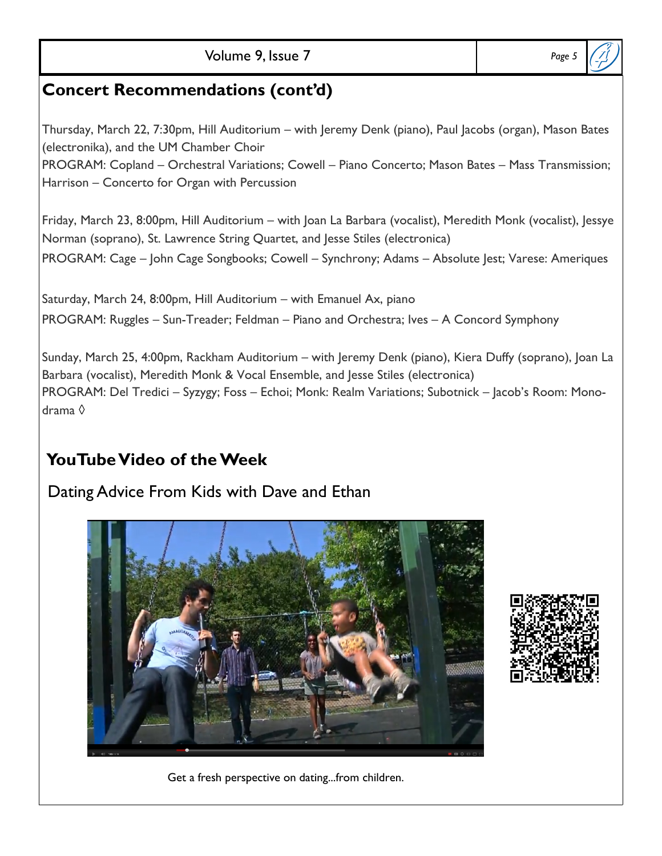## **Concert Recommendations (cont'd)**

Thursday, March 22, 7:30pm, Hill Auditorium – with Jeremy Denk (piano), Paul Jacobs (organ), Mason Bates (electronika), and the UM Chamber Choir PROGRAM: Copland – Orchestral Variations; Cowell – Piano Concerto; Mason Bates – Mass Transmission; Harrison – Concerto for Organ with Percussion

Friday, March 23, 8:00pm, Hill Auditorium – with Joan La Barbara (vocalist), Meredith Monk (vocalist), Jessye Norman (soprano), St. Lawrence String Quartet, and Jesse Stiles (electronica) PROGRAM: Cage – John Cage Songbooks; Cowell – Synchrony; Adams – Absolute Jest; Varese: Ameriques

Saturday, March 24, 8:00pm, Hill Auditorium – with Emanuel Ax, piano PROGRAM: Ruggles – Sun-Treader; Feldman – Piano and Orchestra; Ives – A Concord Symphony

Sunday, March 25, 4:00pm, Rackham Auditorium – with Jeremy Denk (piano), Kiera Duffy (soprano), Joan La Barbara (vocalist), Meredith Monk & Vocal Ensemble, and Jesse Stiles (electronica) PROGRAM: Del Tredici – Syzygy; Foss – Echoi; Monk: Realm Variations; Subotnick – Jacob's Room: Monodrama ◊

## **YouTube Video of the Week**

## Dating Advice From Kids with Dave and Ethan





#### Get a fresh perspective on dating...from children.